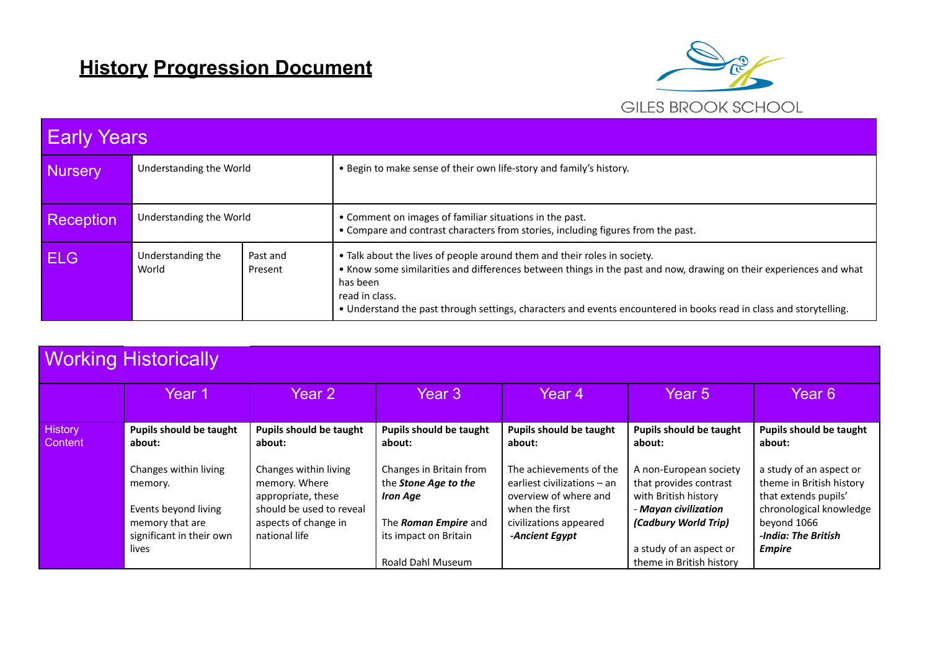## **History Progression Document**



| <b>Early Years</b> |                                                   |  |                                                                                                                                                                                                                                                                                                                                                    |  |  |  |
|--------------------|---------------------------------------------------|--|----------------------------------------------------------------------------------------------------------------------------------------------------------------------------------------------------------------------------------------------------------------------------------------------------------------------------------------------------|--|--|--|
| <b>Nursery</b>     | Understanding the World                           |  | . Begin to make sense of their own life-story and family's history.                                                                                                                                                                                                                                                                                |  |  |  |
| Reception          | Understanding the World                           |  | • Comment on images of familiar situations in the past.<br>• Compare and contrast characters from stories, including figures from the past.                                                                                                                                                                                                        |  |  |  |
| <b>ELG</b>         | Understanding the<br>Past and<br>World<br>Present |  | • Talk about the lives of people around them and their roles in society.<br>• Know some similarities and differences between things in the past and now, drawing on their experiences and what<br>has been<br>read in class.<br>. Understand the past through settings, characters and events encountered in books read in class and storytelling. |  |  |  |

|                           | <b>Working Historically</b>                                         |                                                                   |                                                                           |                                                                                 |                                                                          |                                                                             |
|---------------------------|---------------------------------------------------------------------|-------------------------------------------------------------------|---------------------------------------------------------------------------|---------------------------------------------------------------------------------|--------------------------------------------------------------------------|-----------------------------------------------------------------------------|
|                           | Year 1                                                              | Year 2                                                            | Year 3                                                                    | Year 4                                                                          | Year 5                                                                   | Year 6                                                                      |
| <b>History</b><br>Content | <b>Pupils should be taught</b><br>about:                            | <b>Pupils should be taught</b><br>about:                          | <b>Pupils should be taught</b><br>about:                                  | <b>Pupils should be taught</b><br>about:                                        | <b>Pupils should be taught</b><br>about:                                 | <b>Pupils should be taught</b><br>about:                                    |
|                           | Changes within living<br>memory.                                    | Changes within living<br>memory. Where<br>appropriate, these      | Changes in Britain from<br>the <b>Stone Age to the</b><br><b>Iron Age</b> | The achievements of the<br>earliest civilizations – an<br>overview of where and | A non-European society<br>that provides contrast<br>with British history | a study of an aspect or<br>theme in British history<br>that extends pupils' |
|                           | Events beyond living<br>memory that are<br>significant in their own | should be used to reveal<br>aspects of change in<br>national life | The Roman Empire and<br>its impact on Britain                             | when the first<br>civilizations appeared<br>-Ancient Egypt                      | - Mayan civilization<br>(Cadbury World Trip)                             | chronological knowledge<br>beyond 1066<br>-India: The British               |
|                           | lives                                                               |                                                                   | <b>Roald Dahl Museum</b>                                                  |                                                                                 | a study of an aspect or<br>theme in British history                      | <b>Empire</b>                                                               |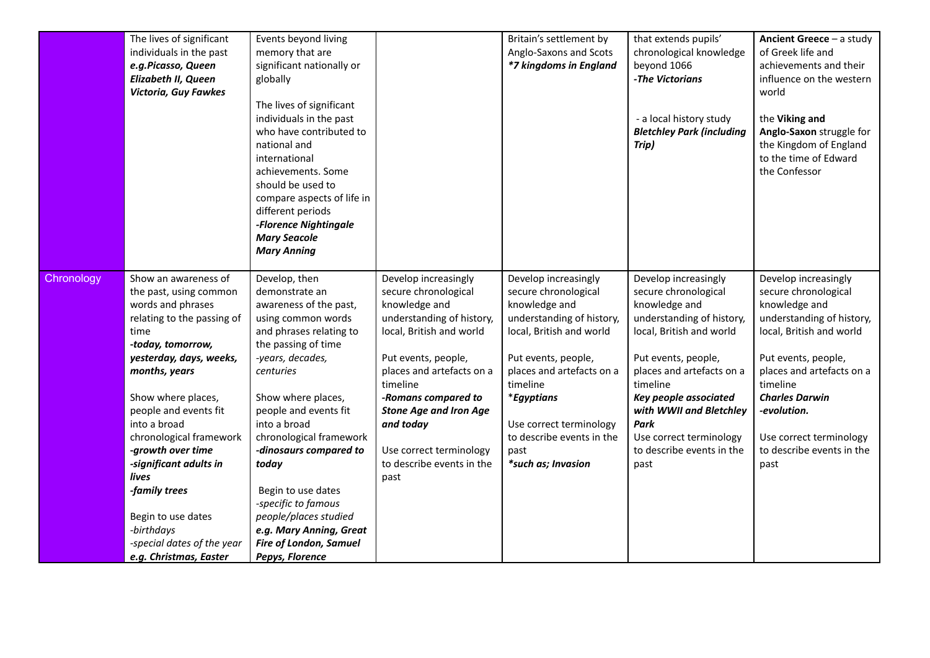|            | The lives of significant<br>individuals in the past<br>e.g.Picasso, Queen<br><b>Elizabeth II, Queen</b><br>Victoria, Guy Fawkes | Events beyond living<br>memory that are<br>significant nationally or<br>globally<br>The lives of significant<br>individuals in the past<br>who have contributed to<br>national and<br>international<br>achievements. Some<br>should be used to<br>compare aspects of life in<br>different periods<br>-Florence Nightingale<br><b>Mary Seacole</b><br><b>Mary Anning</b> |                                                               | Britain's settlement by<br>Anglo-Saxons and Scots<br>*7 kingdoms in England | that extends pupils'<br>chronological knowledge<br>beyond 1066<br>-The Victorians<br>- a local history study<br><b>Bletchley Park (including</b><br>Trip) | <b>Ancient Greece – a study</b><br>of Greek life and<br>achievements and their<br>influence on the western<br>world<br>the Viking and<br>Anglo-Saxon struggle for<br>the Kingdom of England<br>to the time of Edward<br>the Confessor |
|------------|---------------------------------------------------------------------------------------------------------------------------------|-------------------------------------------------------------------------------------------------------------------------------------------------------------------------------------------------------------------------------------------------------------------------------------------------------------------------------------------------------------------------|---------------------------------------------------------------|-----------------------------------------------------------------------------|-----------------------------------------------------------------------------------------------------------------------------------------------------------|---------------------------------------------------------------------------------------------------------------------------------------------------------------------------------------------------------------------------------------|
| Chronology | Show an awareness of<br>the past, using common<br>words and phrases                                                             | Develop, then<br>demonstrate an<br>awareness of the past,                                                                                                                                                                                                                                                                                                               | Develop increasingly<br>secure chronological<br>knowledge and | Develop increasingly<br>secure chronological<br>knowledge and               | Develop increasingly<br>secure chronological<br>knowledge and                                                                                             | Develop increasingly<br>secure chronological<br>knowledge and                                                                                                                                                                         |
|            | relating to the passing of<br>time<br>-today, tomorrow,                                                                         | using common words<br>and phrases relating to<br>the passing of time                                                                                                                                                                                                                                                                                                    | understanding of history,<br>local, British and world         | understanding of history,<br>local, British and world                       | understanding of history,<br>local, British and world                                                                                                     | understanding of history,<br>local, British and world                                                                                                                                                                                 |
|            | yesterday, days, weeks,<br>months, years                                                                                        | -years, decades,<br>centuries                                                                                                                                                                                                                                                                                                                                           | Put events, people,<br>places and artefacts on a<br>timeline  | Put events, people,<br>places and artefacts on a<br>timeline                | Put events, people,<br>places and artefacts on a<br>timeline                                                                                              | Put events, people,<br>places and artefacts on a<br>timeline                                                                                                                                                                          |
|            | Show where places,<br>people and events fit                                                                                     | Show where places,<br>people and events fit                                                                                                                                                                                                                                                                                                                             | -Romans compared to<br><b>Stone Age and Iron Age</b>          | *Egyptians                                                                  | Key people associated<br>with WWII and Bletchley                                                                                                          | <b>Charles Darwin</b><br>-evolution.                                                                                                                                                                                                  |
|            | into a broad<br>chronological framework                                                                                         | into a broad<br>chronological framework                                                                                                                                                                                                                                                                                                                                 | and today                                                     | Use correct terminology<br>to describe events in the                        | Park<br>Use correct terminology                                                                                                                           | Use correct terminology                                                                                                                                                                                                               |
|            | -growth over time                                                                                                               | -dinosaurs compared to                                                                                                                                                                                                                                                                                                                                                  | Use correct terminology                                       | past                                                                        | to describe events in the                                                                                                                                 | to describe events in the                                                                                                                                                                                                             |
|            | -significant adults in<br>lives                                                                                                 | today                                                                                                                                                                                                                                                                                                                                                                   | to describe events in the<br>past                             | *such as; Invasion                                                          | past                                                                                                                                                      | past                                                                                                                                                                                                                                  |
|            | -family trees                                                                                                                   | Begin to use dates                                                                                                                                                                                                                                                                                                                                                      |                                                               |                                                                             |                                                                                                                                                           |                                                                                                                                                                                                                                       |
|            | Begin to use dates                                                                                                              | -specific to famous<br>people/places studied                                                                                                                                                                                                                                                                                                                            |                                                               |                                                                             |                                                                                                                                                           |                                                                                                                                                                                                                                       |
|            | -birthdays                                                                                                                      | e.g. Mary Anning, Great                                                                                                                                                                                                                                                                                                                                                 |                                                               |                                                                             |                                                                                                                                                           |                                                                                                                                                                                                                                       |
|            | -special dates of the year                                                                                                      | <b>Fire of London, Samuel</b>                                                                                                                                                                                                                                                                                                                                           |                                                               |                                                                             |                                                                                                                                                           |                                                                                                                                                                                                                                       |
|            | e.g. Christmas, Easter                                                                                                          | Pepys, Florence                                                                                                                                                                                                                                                                                                                                                         |                                                               |                                                                             |                                                                                                                                                           |                                                                                                                                                                                                                                       |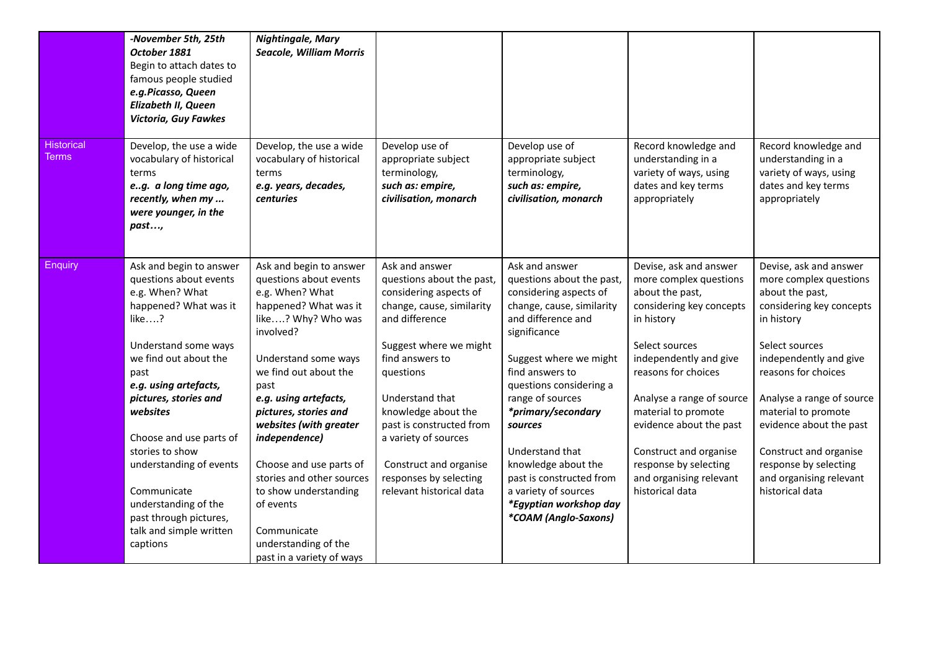|                            | -November 5th, 25th<br>October 1881<br>Begin to attach dates to<br>famous people studied<br>e.g.Picasso, Queen<br>Elizabeth II, Queen<br><b>Victoria, Guy Fawkes</b>                                                          | <b>Nightingale, Mary</b><br><b>Seacole, William Morris</b>                                                                                                                                                                                  |                                                                                                                                                                                                                          |                                                                                                                                                                                                                                                            |                                                                                                                                                                                                                                      |                                                                                                                                                                                                                                      |
|----------------------------|-------------------------------------------------------------------------------------------------------------------------------------------------------------------------------------------------------------------------------|---------------------------------------------------------------------------------------------------------------------------------------------------------------------------------------------------------------------------------------------|--------------------------------------------------------------------------------------------------------------------------------------------------------------------------------------------------------------------------|------------------------------------------------------------------------------------------------------------------------------------------------------------------------------------------------------------------------------------------------------------|--------------------------------------------------------------------------------------------------------------------------------------------------------------------------------------------------------------------------------------|--------------------------------------------------------------------------------------------------------------------------------------------------------------------------------------------------------------------------------------|
| <b>Historical</b><br>Terms | Develop, the use a wide<br>vocabulary of historical<br>terms<br>eg. a long time ago,<br>recently, when my<br>were younger, in the<br>past,                                                                                    | Develop, the use a wide<br>vocabulary of historical<br>terms<br>e.g. years, decades,<br><b>centuries</b>                                                                                                                                    | Develop use of<br>appropriate subject<br>terminology,<br>such as: empire,<br>civilisation, monarch                                                                                                                       | Develop use of<br>appropriate subject<br>terminology,<br>such as: empire,<br>civilisation, monarch                                                                                                                                                         | Record knowledge and<br>understanding in a<br>variety of ways, using<br>dates and key terms<br>appropriately                                                                                                                         | Record knowledge and<br>understanding in a<br>variety of ways, using<br>dates and key terms<br>appropriately                                                                                                                         |
| Enquiry                    | Ask and begin to answer<br>questions about events<br>e.g. When? What<br>happened? What was it<br>like?<br>Understand some ways<br>we find out about the<br>past<br>e.g. using artefacts,<br>pictures, stories and<br>websites | Ask and begin to answer<br>questions about events<br>e.g. When? What<br>happened? What was it<br>like? Why? Who was<br>involved?<br>Understand some ways<br>we find out about the<br>past<br>e.g. using artefacts,<br>pictures, stories and | Ask and answer<br>questions about the past,<br>considering aspects of<br>change, cause, similarity<br>and difference<br>Suggest where we might<br>find answers to<br>questions<br>Understand that<br>knowledge about the | Ask and answer<br>questions about the past,<br>considering aspects of<br>change, cause, similarity<br>and difference and<br>significance<br>Suggest where we might<br>find answers to<br>questions considering a<br>range of sources<br>*primary/secondary | Devise, ask and answer<br>more complex questions<br>about the past,<br>considering key concepts<br>in history<br>Select sources<br>independently and give<br>reasons for choices<br>Analyse a range of source<br>material to promote | Devise, ask and answer<br>more complex questions<br>about the past,<br>considering key concepts<br>in history<br>Select sources<br>independently and give<br>reasons for choices<br>Analyse a range of source<br>material to promote |
|                            | Choose and use parts of<br>stories to show<br>understanding of events<br>Communicate<br>understanding of the<br>past through pictures,<br>talk and simple written<br>captions                                                 | websites (with greater<br>independence)<br>Choose and use parts of<br>stories and other sources<br>to show understanding<br>of events<br>Communicate<br>understanding of the<br>past in a variety of ways                                   | past is constructed from<br>a variety of sources<br>Construct and organise<br>responses by selecting<br>relevant historical data                                                                                         | sources<br>Understand that<br>knowledge about the<br>past is constructed from<br>a variety of sources<br>*Egyptian workshop day<br>*COAM (Anglo-Saxons)                                                                                                    | evidence about the past<br>Construct and organise<br>response by selecting<br>and organising relevant<br>historical data                                                                                                             | evidence about the past<br>Construct and organise<br>response by selecting<br>and organising relevant<br>historical data                                                                                                             |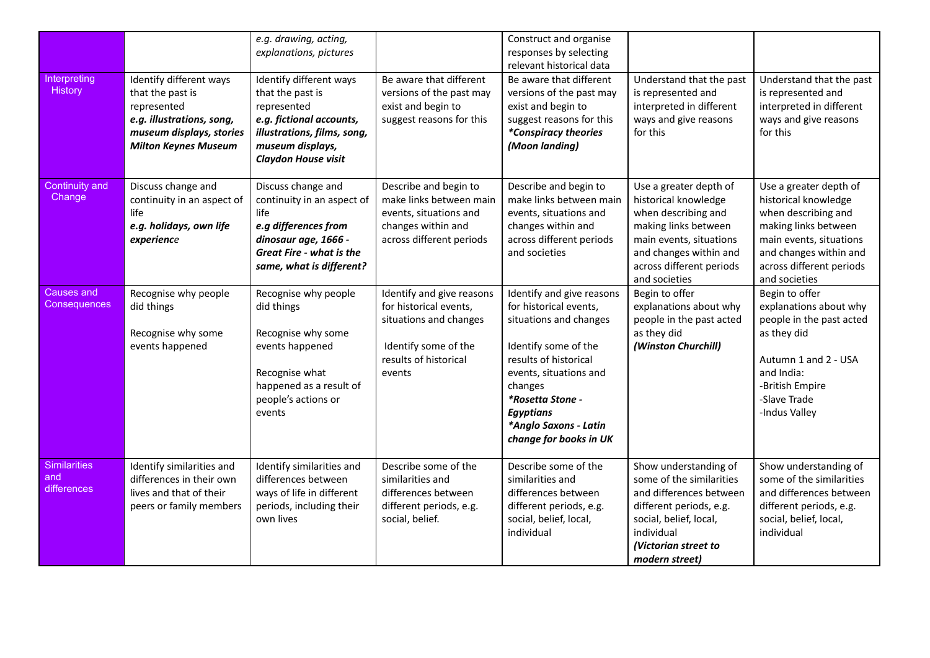| Interpreting<br>History                   | Identify different ways<br>that the past is<br>represented<br>e.g. illustrations, song,<br>museum displays, stories<br><b>Milton Keynes Museum</b> | e.g. drawing, acting,<br>explanations, pictures<br>Identify different ways<br>that the past is<br>represented<br>e.g. fictional accounts,<br>illustrations, films, song,<br>museum displays,<br>Claydon House visit | Be aware that different<br>versions of the past may<br>exist and begin to<br>suggest reasons for this                                    | Construct and organise<br>responses by selecting<br>relevant historical data<br>Be aware that different<br>versions of the past may<br>exist and begin to<br>suggest reasons for this<br>*Conspiracy theories<br>(Moon landing)                                | Understand that the past<br>is represented and<br>interpreted in different<br>ways and give reasons<br>for this                                                                                 | Understand that the past<br>is represented and<br>interpreted in different<br>ways and give reasons<br>for this                                                                                 |
|-------------------------------------------|----------------------------------------------------------------------------------------------------------------------------------------------------|---------------------------------------------------------------------------------------------------------------------------------------------------------------------------------------------------------------------|------------------------------------------------------------------------------------------------------------------------------------------|----------------------------------------------------------------------------------------------------------------------------------------------------------------------------------------------------------------------------------------------------------------|-------------------------------------------------------------------------------------------------------------------------------------------------------------------------------------------------|-------------------------------------------------------------------------------------------------------------------------------------------------------------------------------------------------|
| Continuity and<br>Change                  | Discuss change and<br>continuity in an aspect of<br>life<br>e.g. holidays, own life<br>experience                                                  | Discuss change and<br>continuity in an aspect of<br>life<br>e.g differences from<br>dinosaur age, 1666 -<br><b>Great Fire - what is the</b><br>same, what is different?                                             | Describe and begin to<br>make links between main<br>events, situations and<br>changes within and<br>across different periods             | Describe and begin to<br>make links between main<br>events, situations and<br>changes within and<br>across different periods<br>and societies                                                                                                                  | Use a greater depth of<br>historical knowledge<br>when describing and<br>making links between<br>main events, situations<br>and changes within and<br>across different periods<br>and societies | Use a greater depth of<br>historical knowledge<br>when describing and<br>making links between<br>main events, situations<br>and changes within and<br>across different periods<br>and societies |
| <b>Causes and</b><br>Consequences         | Recognise why people<br>did things<br>Recognise why some<br>events happened                                                                        | Recognise why people<br>did things<br>Recognise why some<br>events happened<br>Recognise what<br>happened as a result of<br>people's actions or<br>events                                                           | Identify and give reasons<br>for historical events,<br>situations and changes<br>Identify some of the<br>results of historical<br>events | Identify and give reasons<br>for historical events,<br>situations and changes<br>Identify some of the<br>results of historical<br>events, situations and<br>changes<br>*Rosetta Stone -<br><b>Egyptians</b><br>*Anglo Saxons - Latin<br>change for books in UK | Begin to offer<br>explanations about why<br>people in the past acted<br>as they did<br>(Winston Churchill)                                                                                      | Begin to offer<br>explanations about why<br>people in the past acted<br>as they did<br>Autumn 1 and 2 - USA<br>and India:<br>-British Empire<br>-Slave Trade<br>-Indus Valley                   |
| <b>Similarities</b><br>and<br>differences | Identify similarities and<br>differences in their own<br>lives and that of their<br>peers or family members                                        | Identify similarities and<br>differences between<br>ways of life in different<br>periods, including their<br>own lives                                                                                              | Describe some of the<br>similarities and<br>differences between<br>different periods, e.g.<br>social, belief.                            | Describe some of the<br>similarities and<br>differences between<br>different periods, e.g.<br>social, belief, local,<br>individual                                                                                                                             | Show understanding of<br>some of the similarities<br>and differences between<br>different periods, e.g.<br>social, belief, local,<br>individual<br>(Victorian street to<br>modern street)       | Show understanding of<br>some of the similarities<br>and differences between<br>different periods, e.g.<br>social, belief, local,<br>individual                                                 |